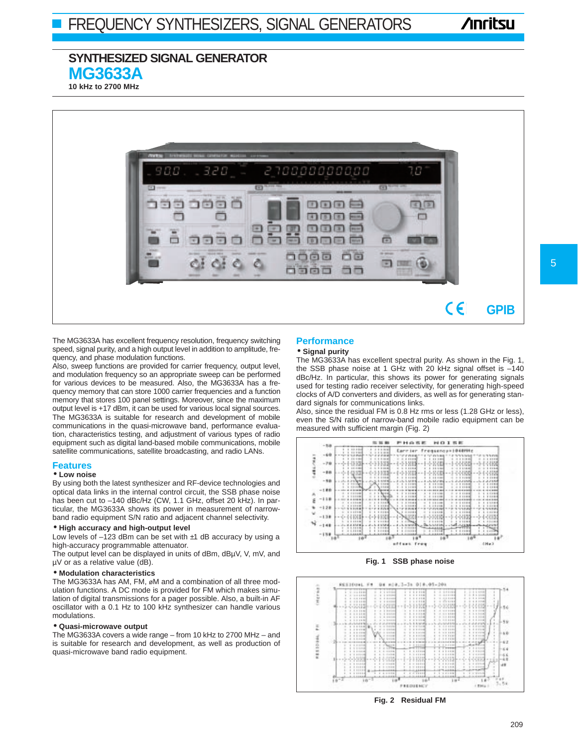# **Anritsu**

## **SYNTHESIZED SIGNAL GENERATOR MG3633A**

**10 kHz to 2700 MHz**



The MG3633A has excellent frequency resolution, frequency switching speed, signal purity, and a high output level in addition to amplitude, frequency, and phase modulation functions.

Also, sweep functions are provided for carrier frequency, output level, and modulation frequency so an appropriate sweep can be performed for various devices to be measured. Also, the MG3633A has a frequency memory that can store 1000 carrier frequencies and a function memory that stores 100 panel settings. Moreover, since the maximum output level is +17 dBm, it can be used for various local signal sources. The MG3633A is suitable for research and development of mobile communications in the quasi-microwave band, performance evaluation, characteristics testing, and adjustment of various types of radio equipment such as digital land-based mobile communications, mobile satellite communications, satellite broadcasting, and radio LANs.

#### **Features**

#### • **Low noise**

By using both the latest synthesizer and RF-device technologies and optical data links in the internal control circuit, the SSB phase noise has been cut to -140 dBc/Hz (CW, 1.1 GHz, offset 20 kHz). In particular, the MG3633A shows its power in measurement of narrowband radio equipment S/N ratio and adjacent channel selectivity.

#### • **High accuracy and high-output level**

Low levels of  $-123$  dBm can be set with ±1 dB accuracy by using a high-accuracy programmable attenuator.

The output level can be displayed in units of dBm, dBµV, V, mV, and µV or as a relative value (dB).

#### • **Modulation characteristics**

The MG3633A has AM, FM, øM and a combination of all three modulation functions. A DC mode is provided for FM which makes simulation of digital transmissions for a pager possible. Also, a built-in AF oscillator with a 0.1 Hz to 100 kHz synthesizer can handle various modulations.

#### • **Quasi-microwave output**

The MG3633A covers a wide range – from 10 kHz to 2700 MHz – and is suitable for research and development, as well as production of quasi-microwave band radio equipment.

### **Performance**

#### • **Signal purity**

The MG3633A has excellent spectral purity. As shown in the Fig. 1, the SSB phase noise at 1 GHz with 20 kHz signal offset is  $-140$ dBc/Hz. In particular, this shows its power for generating signals used for testing radio receiver selectivity, for generating high-speed clocks of A/D converters and dividers, as well as for generating standard signals for communications links.

Also, since the residual FM is 0.8 Hz rms or less (1.28 GHz or less), even the S/N ratio of narrow-band mobile radio equipment can be measured with sufficient margin (Fig. 2)







**Fig. 2 Residual FM**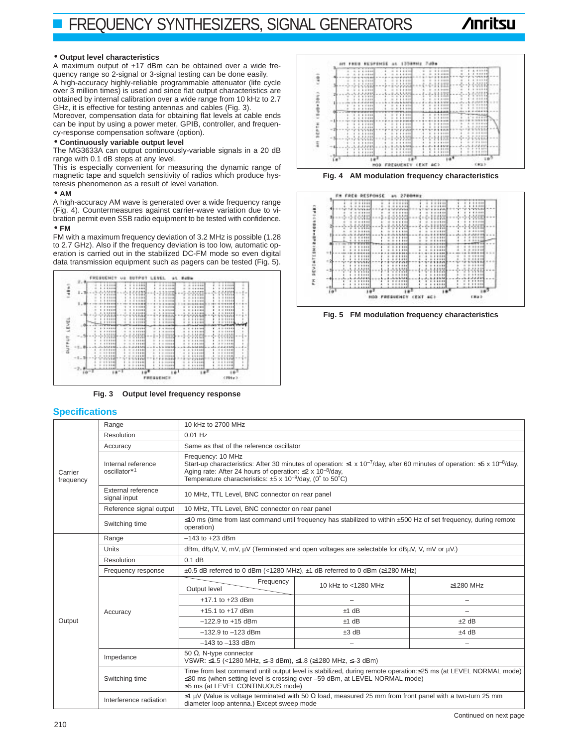# **Anritsu**

#### • **Output level characteristics**

A maximum output of +17 dBm can be obtained over a wide frequency range so 2-signal or 3-signal testing can be done easily. A high-accuracy highly-reliable programmable attenuator (life cycle over 3 million times) is used and since flat output characteristics are obtained by internal calibration over a wide range from 10 kHz to 2.7 GHz, it is effective for testing antennas and cables (Fig. 3).

Moreover, compensation data for obtaining flat levels at cable ends can be input by using a power meter, GPIB, controller, and frequency-response compensation software (option).

#### • **Continuously variable output level**

The MG3633A can output continuously-variable signals in a 20 dB range with 0.1 dB steps at any level.

This is especially convenient for measuring the dynamic range of magnetic tape and squelch sensitivity of radios which produce hysteresis phenomenon as a result of level variation.

#### • **AM**

A high-accuracy AM wave is generated over a wide frequency range (Fig. 4). Countermeasures against carrier-wave variation due to vibration permit even SSB radio equipment to be tested with confidence.

#### • **FM**

FM with a maximum frequency deviation of 3.2 MHz is possible (1.28 to 2.7 GHz). Also if the frequency deviation is too low, automatic operation is carried out in the stabilized DC-FM mode so even digital data transmission equipment such as pagers can be tested (Fig. 5).



**Fig. 3 Output level frequency response** 

### **Specifications**



**Fig. 4 AM modulation frequency characteristics**





| <b>Specifications</b> |                                    |                                                                                                                                                                                                                                                                                                                                  |                     |                          |  |  |  |  |  |
|-----------------------|------------------------------------|----------------------------------------------------------------------------------------------------------------------------------------------------------------------------------------------------------------------------------------------------------------------------------------------------------------------------------|---------------------|--------------------------|--|--|--|--|--|
| Carrier<br>frequency  | Range                              | 10 kHz to 2700 MHz                                                                                                                                                                                                                                                                                                               |                     |                          |  |  |  |  |  |
|                       | Resolution                         | $0.01$ Hz                                                                                                                                                                                                                                                                                                                        |                     |                          |  |  |  |  |  |
|                       | Accuracy                           | Same as that of the reference oscillator                                                                                                                                                                                                                                                                                         |                     |                          |  |  |  |  |  |
|                       | Internal reference<br>oscillator*1 | Frequency: 10 MHz<br>Start-up characteristics: After 30 minutes of operation: $\leq 1 \times 10^{-7}$ /day, after 60 minutes of operation: $\leq 5 \times 10^{-8}$ /day,<br>Aging rate: After 24 hours of operation: $\leq$ 2 x 10 <sup>-8</sup> /day,<br>Temperature characteristics: $\pm 5 \times 10^{-8}$ /day, (0° to 50°C) |                     |                          |  |  |  |  |  |
|                       | External reference<br>signal input | 10 MHz, TTL Level, BNC connector on rear panel                                                                                                                                                                                                                                                                                   |                     |                          |  |  |  |  |  |
|                       | Reference signal output            | 10 MHz, TTL Level, BNC connector on rear panel                                                                                                                                                                                                                                                                                   |                     |                          |  |  |  |  |  |
|                       | Switching time                     | ≤10 ms (time from last command until frequency has stabilized to within ±500 Hz of set frequency, during remote<br>operation)                                                                                                                                                                                                    |                     |                          |  |  |  |  |  |
|                       | Range                              | $-143$ to $+23$ dBm                                                                                                                                                                                                                                                                                                              |                     |                          |  |  |  |  |  |
|                       | <b>Units</b>                       | dBm, dBuV, V, mV, µV (Terminated and open voltages are selectable for dBuV, V, mV or µV.)                                                                                                                                                                                                                                        |                     |                          |  |  |  |  |  |
|                       | Resolution                         | 0.1 dB                                                                                                                                                                                                                                                                                                                           |                     |                          |  |  |  |  |  |
|                       | Frequency response                 | ±0.5 dB referred to 0 dBm (<1280 MHz), ±1 dB referred to 0 dBm (≥1280 MHz)                                                                                                                                                                                                                                                       |                     |                          |  |  |  |  |  |
|                       | Accuracy                           | Frequency<br>Output level                                                                                                                                                                                                                                                                                                        | 10 kHz to <1280 MHz | ≥1280 MHz                |  |  |  |  |  |
|                       |                                    | $+17.1$ to $+23$ dBm                                                                                                                                                                                                                                                                                                             |                     | $\equiv$                 |  |  |  |  |  |
|                       |                                    | $+15.1$ to $+17$ dBm                                                                                                                                                                                                                                                                                                             | $±1$ dB             |                          |  |  |  |  |  |
| Output                |                                    | $-122.9$ to $+15$ dBm                                                                                                                                                                                                                                                                                                            | $±1$ dB             | $±2$ dB                  |  |  |  |  |  |
|                       |                                    | $-132.9$ to $-123$ dBm                                                                                                                                                                                                                                                                                                           | $±3$ dB             | $±4$ dB                  |  |  |  |  |  |
|                       |                                    | $-143$ to $-133$ dBm                                                                                                                                                                                                                                                                                                             |                     | $\overline{\phantom{0}}$ |  |  |  |  |  |
|                       | Impedance                          | 50 $\Omega$ , N-type connector<br>VSWR: ≤1.5 (<1280 MHz, ≤-3 dBm), ≤1.8 (≥1280 MHz, ≤-3 dBm)                                                                                                                                                                                                                                     |                     |                          |  |  |  |  |  |
|                       | Switching time                     | Time from last command until output level is stabilized, during remote operation: ≤25 ms (at LEVEL NORMAL mode)<br>$\leq$ 80 ms (when setting level is crossing over -59 dBm, at LEVEL NORMAL mode)<br>≤5 ms (at LEVEL CONTINUOUS mode)                                                                                          |                     |                          |  |  |  |  |  |
|                       | Interference radiation             | $\leq$ 1 µV (Value is voltage terminated with 50 $\Omega$ load, measured 25 mm from front panel with a two-turn 25 mm<br>diameter loop antenna.) Except sweep mode                                                                                                                                                               |                     |                          |  |  |  |  |  |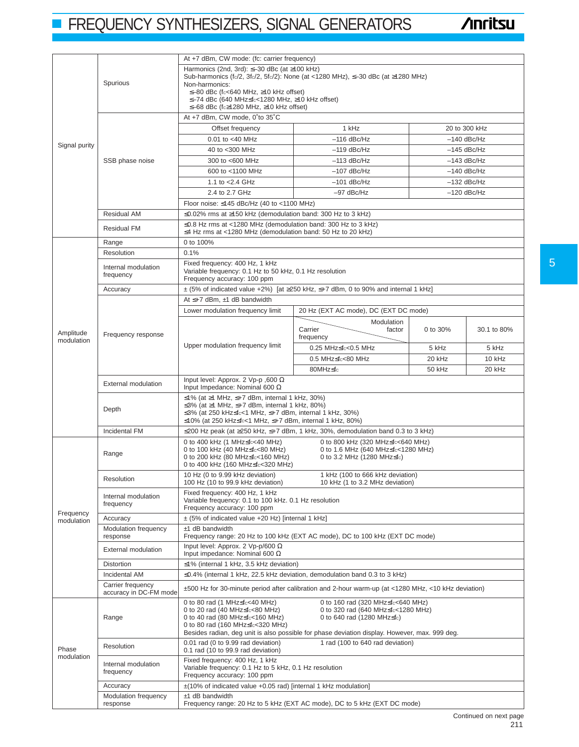# **FREQUENCY SYNTHESIZERS, SIGNAL GENERATORS**

|                         |                                             | At +7 dBm, CW mode: (fc: carrier frequency)                                                                                                                                                                                                                                                                                                                            |                                                                                                       |          |             |  |  |  |  |  |
|-------------------------|---------------------------------------------|------------------------------------------------------------------------------------------------------------------------------------------------------------------------------------------------------------------------------------------------------------------------------------------------------------------------------------------------------------------------|-------------------------------------------------------------------------------------------------------|----------|-------------|--|--|--|--|--|
| Signal purity           | Spurious                                    | Harmonics (2nd, 3rd): $\leq -30$ dBc (at $\geq 100$ kHz)<br>Sub-harmonics (fc/2, 3fc/2, 5fc/2): None (at <1280 MHz), $\leq$ 30 dBc (at $\geq$ 1280 MHz)<br>Non-harmonics:<br>$\leq$ -80 dBc (fc<640 MHz, ≥10 kHz offset)<br>≤-74 dBc (640 MHz≤fc<1280 MHz, ≥10 kHz offset)<br>≤-68 dBc (fc≥1280 MHz, ≥10 kHz offset)                                                   |                                                                                                       |          |             |  |  |  |  |  |
|                         |                                             | At +7 dBm, CW mode, 0°to 35°C                                                                                                                                                                                                                                                                                                                                          |                                                                                                       |          |             |  |  |  |  |  |
|                         |                                             | 1 kHz<br>20 to 300 kHz<br>Offset frequency                                                                                                                                                                                                                                                                                                                             |                                                                                                       |          |             |  |  |  |  |  |
|                         |                                             | $-116$ dBc/Hz<br>$-140$ dBc/Hz<br>0.01 to <40 MHz                                                                                                                                                                                                                                                                                                                      |                                                                                                       |          |             |  |  |  |  |  |
|                         |                                             | $-119$ dBc/Hz<br>$-145$ dBc/Hz<br>40 to <300 MHz                                                                                                                                                                                                                                                                                                                       |                                                                                                       |          |             |  |  |  |  |  |
|                         |                                             | 300 to <600 MHz<br>$-113$ dBc/Hz<br>$-143$ dBc/Hz                                                                                                                                                                                                                                                                                                                      |                                                                                                       |          |             |  |  |  |  |  |
|                         | SSB phase noise                             | $-107$ dBc/Hz<br>$-140$ dBc/Hz<br>600 to <1100 MHz                                                                                                                                                                                                                                                                                                                     |                                                                                                       |          |             |  |  |  |  |  |
|                         |                                             |                                                                                                                                                                                                                                                                                                                                                                        |                                                                                                       |          |             |  |  |  |  |  |
|                         |                                             | 1.1 to <2.4 GHz<br>$-101$ dBc/Hz<br>$-132$ dBc/Hz                                                                                                                                                                                                                                                                                                                      |                                                                                                       |          |             |  |  |  |  |  |
|                         |                                             | 2.4 to 2.7 GHz<br>$-97$ dBc/Hz<br>$-120$ dBc/Hz                                                                                                                                                                                                                                                                                                                        |                                                                                                       |          |             |  |  |  |  |  |
|                         |                                             |                                                                                                                                                                                                                                                                                                                                                                        | Floor noise: ≤145 dBc/Hz (40 to <1100 MHz)                                                            |          |             |  |  |  |  |  |
|                         | <b>Residual AM</b>                          | ≤0.02% rms at ≥150 kHz (demodulation band: 300 Hz to 3 kHz)                                                                                                                                                                                                                                                                                                            |                                                                                                       |          |             |  |  |  |  |  |
|                         | <b>Residual FM</b>                          | $\leq$ 0.8 Hz rms at <1280 MHz (demodulation band: 300 Hz to 3 kHz)<br>≤4 Hz rms at <1280 MHz (demodulation band: 50 Hz to 20 kHz)                                                                                                                                                                                                                                     |                                                                                                       |          |             |  |  |  |  |  |
|                         | Range                                       | 0 to 100%                                                                                                                                                                                                                                                                                                                                                              |                                                                                                       |          |             |  |  |  |  |  |
|                         | Resolution                                  | 0.1%                                                                                                                                                                                                                                                                                                                                                                   |                                                                                                       |          |             |  |  |  |  |  |
|                         | Internal modulation<br>frequency            | Fixed frequency: 400 Hz, 1 kHz<br>Variable frequency: 0.1 Hz to 50 kHz, 0.1 Hz resolution<br>Frequency accuracy: 100 ppm                                                                                                                                                                                                                                               |                                                                                                       |          |             |  |  |  |  |  |
|                         | Accuracy                                    |                                                                                                                                                                                                                                                                                                                                                                        | $\pm$ (5% of indicated value +2%) [at $\geq$ 250 kHz, $\leq$ +7 dBm, 0 to 90% and internal 1 kHz]     |          |             |  |  |  |  |  |
|                         |                                             | At $\leq +7$ dBm, $\pm$ 1 dB bandwidth                                                                                                                                                                                                                                                                                                                                 |                                                                                                       |          |             |  |  |  |  |  |
|                         |                                             | Lower modulation frequency limit                                                                                                                                                                                                                                                                                                                                       | 20 Hz (EXT AC mode), DC (EXT DC mode)                                                                 |          |             |  |  |  |  |  |
| Amplitude<br>modulation | Frequency response                          |                                                                                                                                                                                                                                                                                                                                                                        | Modulation<br>Carrier<br>factor<br>frequency                                                          | 0 to 30% | 30.1 to 80% |  |  |  |  |  |
|                         |                                             | Upper modulation frequency limit                                                                                                                                                                                                                                                                                                                                       | 0.25 MHz≤fc<0.5 MHz                                                                                   | 5 kHz    | 5 kHz       |  |  |  |  |  |
|                         |                                             |                                                                                                                                                                                                                                                                                                                                                                        | 0.5 MHz≤fc<80 MHz                                                                                     | 20 kHz   | 10 kHz      |  |  |  |  |  |
|                         |                                             |                                                                                                                                                                                                                                                                                                                                                                        | 80MHz≤fc                                                                                              | 50 kHz   | 20 kHz      |  |  |  |  |  |
|                         | <b>External modulation</b>                  | Input level: Approx. 2 Vp-p, 600 $\Omega$<br>Input Impedance: Nominal 600 $\Omega$                                                                                                                                                                                                                                                                                     |                                                                                                       |          |             |  |  |  |  |  |
|                         | Depth                                       | ≤1% (at ≥1 MHz, ≤+7 dBm, internal 1 kHz, 30%)<br>≤3% (at ≥1 MHz, ≤+7 dBm, internal 1 kHz, 80%)<br>$\leq$ 3% (at 250 kHz $\leq$ fc<1 MHz, $\leq$ +7 dBm, internal 1 kHz, 30%)<br>≤10% (at 250 kHz≤fc<1 MHz, ≤+7 dBm, internal 1 kHz, 80%)                                                                                                                               |                                                                                                       |          |             |  |  |  |  |  |
|                         | Incidental FM                               | ≤200 Hz peak (at ≥250 kHz, ≤+7 dBm, 1 kHz, 30%, demodulation band 0.3 to 3 kHz)                                                                                                                                                                                                                                                                                        |                                                                                                       |          |             |  |  |  |  |  |
|                         | Range                                       | 0 to 400 kHz (1 MHz $\leq$ f $c$ <40 MHz)<br>0 to 100 kHz (40 MHz≤fc<80 MHz)<br>0 to 200 kHz (80 MHz≤fc<160 MHz)<br>0 to 400 kHz (160 MHz≤fc<320 MHz)                                                                                                                                                                                                                  | 0 to 800 kHz (320 MHz≤fc<640 MHz)<br>0 to 1.6 MHz (640 MHz≤fc<1280 MHz)<br>0 to 3.2 MHz (1280 MHz≤fc) |          |             |  |  |  |  |  |
|                         | Resolution                                  | 10 Hz (0 to 9.99 kHz deviation)<br>1 kHz (100 to 666 kHz deviation)<br>100 Hz (10 to 99.9 kHz deviation)<br>10 kHz (1 to 3.2 MHz deviation)                                                                                                                                                                                                                            |                                                                                                       |          |             |  |  |  |  |  |
| Frequency               | Internal modulation<br>frequency            | Fixed frequency: 400 Hz, 1 kHz<br>Variable frequency: 0.1 to 100 kHz. 0.1 Hz resolution<br>Frequency accuracy: 100 ppm                                                                                                                                                                                                                                                 |                                                                                                       |          |             |  |  |  |  |  |
| modulation              | Accuracy                                    | ± (5% of indicated value +20 Hz) [internal 1 kHz]                                                                                                                                                                                                                                                                                                                      |                                                                                                       |          |             |  |  |  |  |  |
|                         | Modulation frequency<br>response            | $±1$ dB bandwidth<br>Frequency range: 20 Hz to 100 kHz (EXT AC mode), DC to 100 kHz (EXT DC mode)                                                                                                                                                                                                                                                                      |                                                                                                       |          |             |  |  |  |  |  |
|                         | External modulation                         | Input level: Approx. 2 Vp-p/600 $\Omega$<br>Input impedance: Nominal 600 $\Omega$                                                                                                                                                                                                                                                                                      |                                                                                                       |          |             |  |  |  |  |  |
|                         | Distortion                                  | $\leq$ 1% (internal 1 kHz, 3.5 kHz deviation)                                                                                                                                                                                                                                                                                                                          |                                                                                                       |          |             |  |  |  |  |  |
|                         | Incidental AM                               | $\leq$ 0.4% (internal 1 kHz, 22.5 kHz deviation, demodulation band 0.3 to 3 kHz)                                                                                                                                                                                                                                                                                       |                                                                                                       |          |             |  |  |  |  |  |
|                         | Carrier frequency<br>accuracy in DC-FM mode | ±500 Hz for 30-minute period after calibration and 2-hour warm-up (at <1280 MHz, <10 kHz deviation)                                                                                                                                                                                                                                                                    |                                                                                                       |          |             |  |  |  |  |  |
| Phase<br>modulation     | Range                                       | 0 to 80 rad (1 MHz $\leq$ fc $<$ 40 MHz)<br>0 to 160 rad (320 MHz≤fc<640 MHz)<br>0 to 20 rad (40 MHz $\leq$ fc $<$ 80 MHz)<br>0 to 320 rad (640 MHz≤fc<1280 MHz)<br>0 to 40 rad (80 MHz≤fc<160 MHz)<br>0 to 640 rad (1280 MHz≤fc)<br>0 to 80 rad (160 MHz≤fc<320 MHz)<br>Besides radian, deg unit is also possible for phase deviation display. However, max. 999 deg. |                                                                                                       |          |             |  |  |  |  |  |
|                         | Resolution                                  | 0.01 rad (0 to 9.99 rad deviation)<br>1 rad (100 to 640 rad deviation)<br>0.1 rad (10 to 99.9 rad deviation)                                                                                                                                                                                                                                                           |                                                                                                       |          |             |  |  |  |  |  |
|                         | Internal modulation<br>frequency            | Fixed frequency: 400 Hz, 1 kHz<br>Variable frequency: 0.1 Hz to 5 kHz, 0.1 Hz resolution<br>Frequency accuracy: 100 ppm                                                                                                                                                                                                                                                |                                                                                                       |          |             |  |  |  |  |  |
|                         | Accuracy                                    | ±(10% of indicated value +0.05 rad) [internal 1 kHz modulation]                                                                                                                                                                                                                                                                                                        |                                                                                                       |          |             |  |  |  |  |  |
|                         | Modulation frequency<br>response            | $±1$ dB bandwidth                                                                                                                                                                                                                                                                                                                                                      | Frequency range: 20 Hz to 5 kHz (EXT AC mode), DC to 5 kHz (EXT DC mode)                              |          |             |  |  |  |  |  |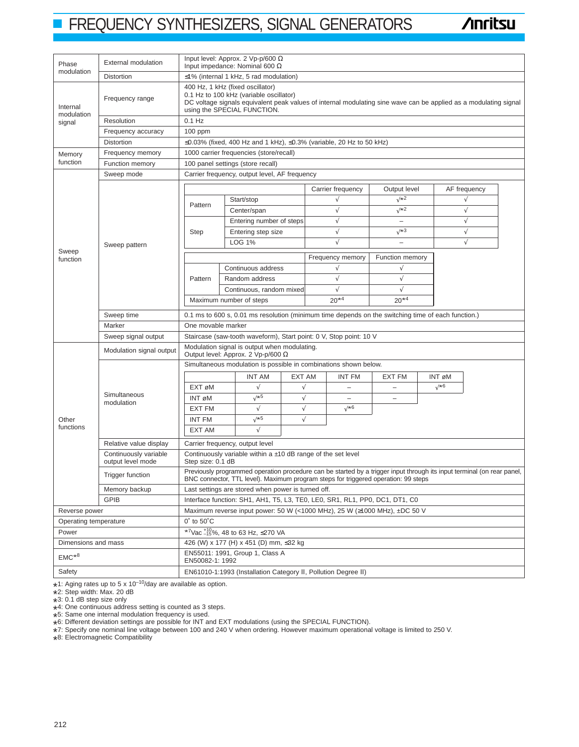# **FREQUENCY SYNTHESIZERS, SIGNAL GENERATORS**

**/inritsu** 

|                        |                                       |                                                                                                                                                                                                                                   |                                                                                           | Input level: Approx. 2 Vp-p/600 $\Omega$           |           |                                                                                 |                          |             |              |  |  |
|------------------------|---------------------------------------|-----------------------------------------------------------------------------------------------------------------------------------------------------------------------------------------------------------------------------------|-------------------------------------------------------------------------------------------|----------------------------------------------------|-----------|---------------------------------------------------------------------------------|--------------------------|-------------|--------------|--|--|
| Phase<br>modulation    | <b>External modulation</b>            | Input impedance: Nominal 600 $\Omega$                                                                                                                                                                                             |                                                                                           |                                                    |           |                                                                                 |                          |             |              |  |  |
|                        | Distortion                            | $\leq$ 1% (internal 1 kHz, 5 rad modulation)                                                                                                                                                                                      |                                                                                           |                                                    |           |                                                                                 |                          |             |              |  |  |
| Internal<br>modulation | Frequency range                       | 400 Hz, 1 kHz (fixed oscillator)<br>0.1 Hz to 100 kHz (variable oscillator)<br>DC voltage signals equivalent peak values of internal modulating sine wave can be applied as a modulating signal<br>using the SPECIAL FUNCTION.    |                                                                                           |                                                    |           |                                                                                 |                          |             |              |  |  |
| signal                 | Resolution                            | $0.1$ Hz                                                                                                                                                                                                                          |                                                                                           |                                                    |           |                                                                                 |                          |             |              |  |  |
|                        | Frequency accuracy                    | $100$ ppm                                                                                                                                                                                                                         |                                                                                           |                                                    |           |                                                                                 |                          |             |              |  |  |
|                        | Distortion                            |                                                                                                                                                                                                                                   |                                                                                           |                                                    |           | $\leq$ 0.03% (fixed, 400 Hz and 1 kHz), $\leq$ 0.3% (variable, 20 Hz to 50 kHz) |                          |             |              |  |  |
| Memory                 | Frequency memory                      |                                                                                                                                                                                                                                   | 1000 carrier frequencies (store/recall)                                                   |                                                    |           |                                                                                 |                          |             |              |  |  |
| function               | <b>Function memory</b>                |                                                                                                                                                                                                                                   | 100 panel settings (store recall)                                                         |                                                    |           |                                                                                 |                          |             |              |  |  |
|                        | Sweep mode                            |                                                                                                                                                                                                                                   | Carrier frequency, output level, AF frequency                                             |                                                    |           |                                                                                 |                          |             |              |  |  |
|                        |                                       |                                                                                                                                                                                                                                   |                                                                                           |                                                    |           |                                                                                 |                          |             |              |  |  |
|                        |                                       |                                                                                                                                                                                                                                   |                                                                                           |                                                    |           | Carrier frequency                                                               | Output level<br>√*2      |             | AF frequency |  |  |
|                        |                                       | Pattern                                                                                                                                                                                                                           |                                                                                           | Start/stop                                         |           | $\sqrt{}$                                                                       |                          |             |              |  |  |
|                        |                                       |                                                                                                                                                                                                                                   |                                                                                           | Center/span                                        |           | $\sqrt{}$                                                                       | $\sqrt{2}$               |             | $\sqrt{}$    |  |  |
|                        |                                       |                                                                                                                                                                                                                                   |                                                                                           | Entering number of steps                           |           | $\sqrt{}$                                                                       | $\overline{\phantom{0}}$ |             | $\sqrt{}$    |  |  |
|                        |                                       | <b>Step</b>                                                                                                                                                                                                                       |                                                                                           | Entering step size                                 |           | $\sqrt{ }$                                                                      | $\sqrt*3$                |             | $\sqrt{}$    |  |  |
|                        | Sweep pattern                         |                                                                                                                                                                                                                                   |                                                                                           | <b>LOG 1%</b>                                      |           | $\sqrt{}$                                                                       |                          |             | $\sqrt{}$    |  |  |
| Sweep<br>function      |                                       |                                                                                                                                                                                                                                   |                                                                                           |                                                    |           | Frequency memory                                                                | Function memory          |             |              |  |  |
|                        |                                       |                                                                                                                                                                                                                                   |                                                                                           | Continuous address                                 |           |                                                                                 | V                        |             |              |  |  |
|                        |                                       | Pattern                                                                                                                                                                                                                           |                                                                                           | Random address                                     |           | √                                                                               | $\sqrt{}$                |             |              |  |  |
|                        |                                       |                                                                                                                                                                                                                                   |                                                                                           | Continuous, random mixed                           |           | $\sqrt{2}$                                                                      | $\sqrt{}$                |             |              |  |  |
|                        |                                       |                                                                                                                                                                                                                                   |                                                                                           |                                                    |           | $20*4$                                                                          | $20*4$                   |             |              |  |  |
|                        |                                       | Maximum number of steps                                                                                                                                                                                                           |                                                                                           |                                                    |           |                                                                                 |                          |             |              |  |  |
|                        | Sweep time                            | 0.1 ms to 600 s, 0.01 ms resolution (minimum time depends on the switching time of each function.)                                                                                                                                |                                                                                           |                                                    |           |                                                                                 |                          |             |              |  |  |
|                        | Marker                                | One movable marker<br>Staircase (saw-tooth waveform), Start point: 0 V, Stop point: 10 V                                                                                                                                          |                                                                                           |                                                    |           |                                                                                 |                          |             |              |  |  |
|                        | Sweep signal output                   |                                                                                                                                                                                                                                   |                                                                                           |                                                    |           |                                                                                 |                          |             |              |  |  |
|                        | Modulation signal output              |                                                                                                                                                                                                                                   | Modulation signal is output when modulating.<br>Output level: Approx. 2 Vp-p/600 $\Omega$ |                                                    |           |                                                                                 |                          |             |              |  |  |
|                        | Simultaneous<br>modulation            | Simultaneous modulation is possible in combinations shown below.                                                                                                                                                                  |                                                                                           |                                                    |           |                                                                                 |                          |             |              |  |  |
|                        |                                       |                                                                                                                                                                                                                                   |                                                                                           | <b>INT AM</b>                                      | EXT AM    | INT FM                                                                          | <b>EXT FM</b>            | INT øM      |              |  |  |
|                        |                                       | EXT øM                                                                                                                                                                                                                            |                                                                                           | $\sqrt{}$                                          | $\sqrt{}$ | $\qquad \qquad -$                                                               |                          | $\sqrt{*}6$ |              |  |  |
|                        |                                       | INT øM                                                                                                                                                                                                                            |                                                                                           | $\sqrt*5$                                          | $\sqrt{}$ | $\overline{\phantom{0}}$                                                        | $\overline{\phantom{0}}$ |             |              |  |  |
|                        |                                       | <b>EXT FM</b>                                                                                                                                                                                                                     |                                                                                           | $\sqrt{}$                                          | $\sqrt{}$ | √*6                                                                             |                          |             |              |  |  |
| Other                  |                                       | <b>INT FM</b>                                                                                                                                                                                                                     |                                                                                           | $\sqrt*5$                                          | $\sqrt{}$ |                                                                                 |                          |             |              |  |  |
| functions              |                                       | EXT AM                                                                                                                                                                                                                            |                                                                                           | $\sqrt{}$                                          |           |                                                                                 |                          |             |              |  |  |
|                        | Relative value display                |                                                                                                                                                                                                                                   |                                                                                           |                                                    |           |                                                                                 |                          |             |              |  |  |
|                        | Continuously variable                 | Carrier frequency, output level<br>Continuously variable within a $\pm$ 10 dB range of the set level                                                                                                                              |                                                                                           |                                                    |           |                                                                                 |                          |             |              |  |  |
|                        | output level mode<br>Trigger function | Step size: 0.1 dB<br>Previously programmed operation procedure can be started by a trigger input through its input terminal (on rear panel,<br>BNC connector, TTL level). Maximum program steps for triggered operation: 99 steps |                                                                                           |                                                    |           |                                                                                 |                          |             |              |  |  |
|                        | Memory backup                         |                                                                                                                                                                                                                                   |                                                                                           | Last settings are stored when power is turned off. |           |                                                                                 |                          |             |              |  |  |
|                        | <b>GPIB</b>                           |                                                                                                                                                                                                                                   |                                                                                           |                                                    |           | Interface function: SH1, AH1, T5, L3, TE0, LE0, SR1, RL1, PP0, DC1, DT1, C0     |                          |             |              |  |  |
|                        |                                       |                                                                                                                                                                                                                                   |                                                                                           |                                                    |           |                                                                                 |                          |             |              |  |  |
| Reverse power          |                                       | Maximum reverse input power: 50 W (<1000 MHz), 25 W ( $\geq$ 1000 MHz), ±DC 50 V                                                                                                                                                  |                                                                                           |                                                    |           |                                                                                 |                          |             |              |  |  |
| Operating temperature  |                                       | $0^\circ$ to $50^\circ$ C                                                                                                                                                                                                         |                                                                                           |                                                    |           |                                                                                 |                          |             |              |  |  |
| Power                  |                                       | $\overline{^{*7}}$ Vac $^{+10}_{-15}$ %, 48 to 63 Hz, ≤270 VA                                                                                                                                                                     |                                                                                           |                                                    |           |                                                                                 |                          |             |              |  |  |
| Dimensions and mass    |                                       | 426 (W) x 177 (H) x 451 (D) mm, ≤32 kg                                                                                                                                                                                            |                                                                                           |                                                    |           |                                                                                 |                          |             |              |  |  |
| $EMC^*$ <sup>8</sup>   |                                       | EN55011: 1991, Group 1, Class A<br>EN50082-1: 1992                                                                                                                                                                                |                                                                                           |                                                    |           |                                                                                 |                          |             |              |  |  |
| Safety                 |                                       | EN61010-1:1993 (Installation Category II, Pollution Degree II)                                                                                                                                                                    |                                                                                           |                                                    |           |                                                                                 |                          |             |              |  |  |

 $*1$ : Aging rates up to 5 x 10<sup>-10</sup>/day are available as option.<br> $*2$ : Step width: Max 20 dB

 $*2$ : Step width: Max. 20 dB<br> $*3$ : 0.1 dB step size only

 $*3$ : 0.1 dB step size only<br> $*4$ : One continuous addr

\*4: One continuous address setting is counted as 3 steps.

\*5: Same one internal modulation frequency is used.

\*6: Different deviation settings are possible for INT and EXT modulations (using the SPECIAL FUNCTION).

\*7: Specify one nominal line voltage between 100 and 240 V when ordering. However maximum operational voltage is limited to 250 V.

\*8: Electromagnetic Compatibility